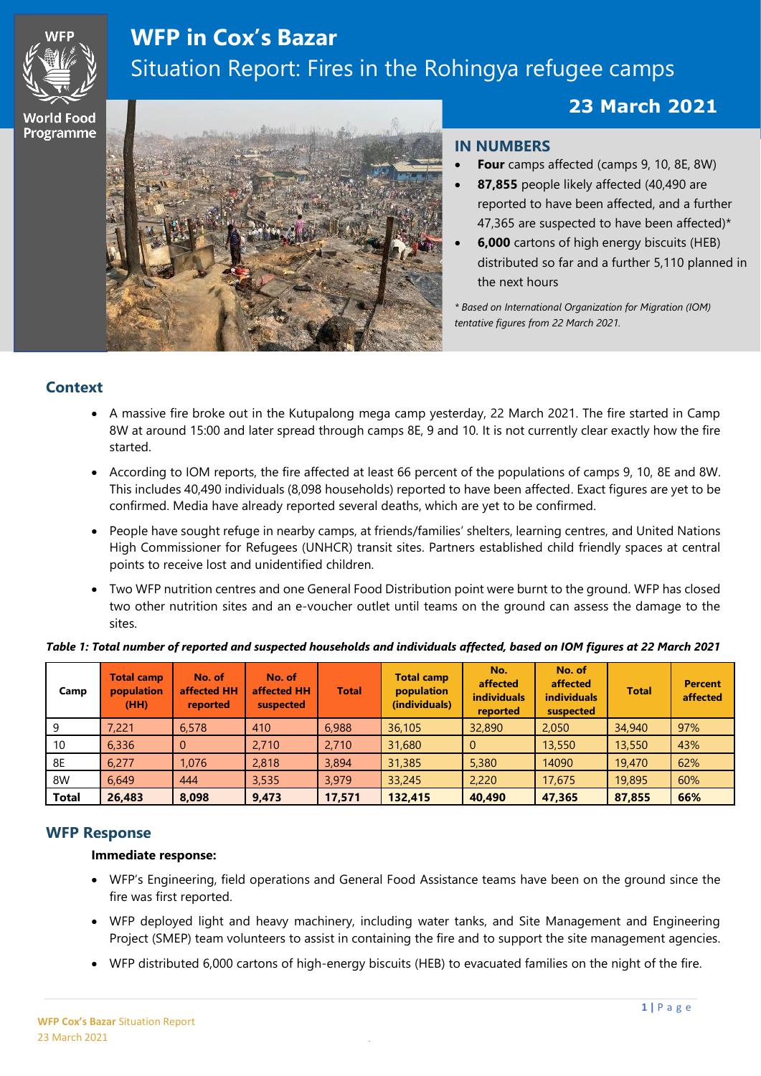

# **WFP in Cox's Bazar** Situation Report: Fires in the Rohingya refugee camps

# **23 March 2021**

**World Food** Programme í



### **IN NUMBERS**

*Photos: © WFP/Daniel Mendies*

- **Four** camps affected (camps 9, 10, 8E, 8W)
- **87,855** people likely affected (40,490 are reported to have been affected, and a further 47,365 are suspected to have been affected)\*
- **6,000** cartons of high energy biscuits (HEB) distributed so far and a further 5,110 planned in the next hours

*\* Based on International Organization for Migration (IOM) tentative figures from 22 March 2021.* 

# **Context**

- A massive fire broke out in the Kutupalong mega camp yesterday, 22 March 2021. The fire started in Camp 8W at around 15:00 and later spread through camps 8E, 9 and 10. It is not currently clear exactly how the fire started.
- According to IOM reports, the fire affected at least 66 percent of the populations of camps 9, 10, 8E and 8W. This includes 40,490 individuals (8,098 households) reported to have been affected. Exact figures are yet to be confirmed. Media have already reported several deaths, which are yet to be confirmed.
- People have sought refuge in nearby camps, at friends/families' shelters, learning centres, and United Nations High Commissioner for Refugees (UNHCR) transit sites. Partners established child friendly spaces at central points to receive lost and unidentified children.
- Two WFP nutrition centres and one General Food Distribution point were burnt to the ground. WFP has closed two other nutrition sites and an e-voucher outlet until teams on the ground can assess the damage to the sites.

| Camp         | <b>Total camp</b><br>population<br>(HH) | No. of<br>affected HH<br>reported | No. of<br>affected HH<br>suspected | <b>Total</b> | <b>Total camp</b><br>population<br>(individuals) | No.<br>affected<br><b>individuals</b><br>reported | No. of<br>affected<br><b>individuals</b><br>suspected | <b>Total</b> | <b>Percent</b><br>affected |
|--------------|-----------------------------------------|-----------------------------------|------------------------------------|--------------|--------------------------------------------------|---------------------------------------------------|-------------------------------------------------------|--------------|----------------------------|
| 9            | 7,221                                   | 6,578                             | 410                                | 6,988        | 36,105                                           | 32,890                                            | 2,050                                                 | 34,940       | 97%                        |
| 10           | 6,336                                   | 0                                 | 2,710                              | 2,710        | 31,680                                           | $\mathbf{0}$                                      | 13,550                                                | 13,550       | 43%                        |
| 8E           | 6.277                                   | 1.076                             | 2,818                              | 3,894        | 31,385                                           | 5,380                                             | 14090                                                 | 19,470       | 62%                        |
| 8W           | 6.649                                   | 444                               | 3,535                              | 3.979        | 33,245                                           | 2,220                                             | 17,675                                                | 19,895       | 60%                        |
| <b>Total</b> | 26,483                                  | 8,098                             | 9,473                              | 17,571       | 132,415                                          | 40,490                                            | 47,365                                                | 87,855       | 66%                        |

#### *Table 1: Total number of reported and suspected households and individuals affected, based on IOM figures at 22 March 2021*

# **WFP Response**

#### **Immediate response:**

- WFP's Engineering, field operations and General Food Assistance teams have been on the ground since the fire was first reported.
- WFP deployed light and heavy machinery, including water tanks, and Site Management and Engineering Project (SMEP) team volunteers to assist in containing the fire and to support the site management agencies.
- WFP distributed 6,000 cartons of high-energy biscuits (HEB) to evacuated families on the night of the fire.